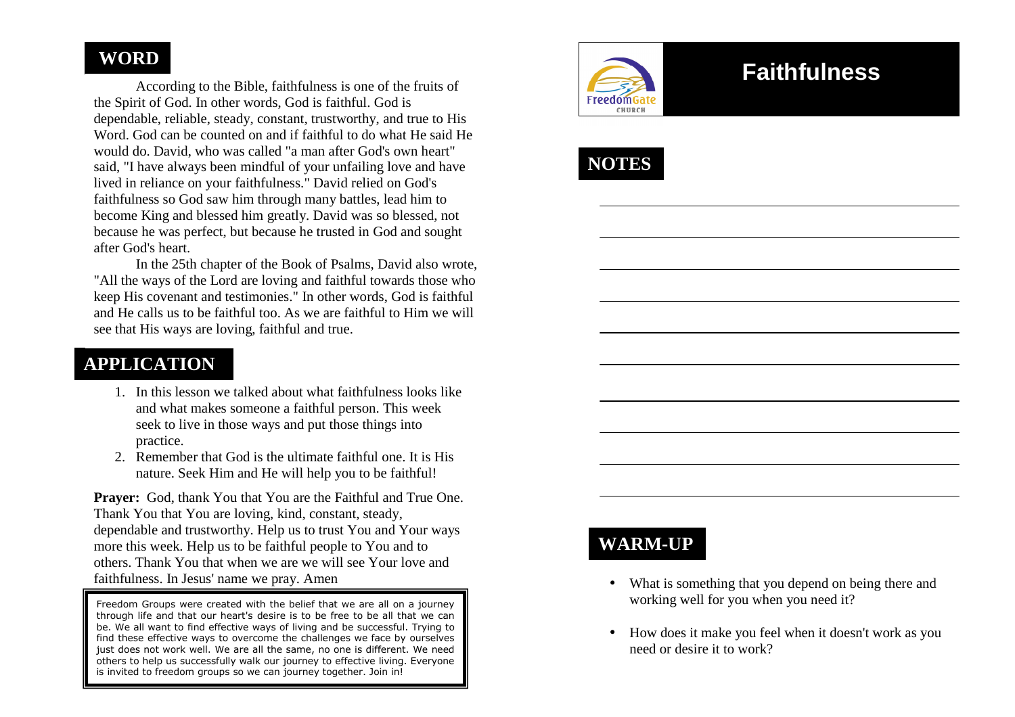# **WORD**

 According to the Bible, faithfulness is one of the fruits of the Spirit of God. In other words, God is faithful. God is dependable, reliable, steady, constant, trustworthy, and true to His Word. God can be counted on and if faithful to do what He said He would do. David, who was called "a man after God's own heart" said, "I have always been mindful of your unfailing love and have lived in reliance on your faithfulness." David relied on God's faithfulness so God saw him through many battles, lead him to become King and blessed him greatly. David was so blessed, not because he was perfect, but because he trusted in God and sought after God's heart.

 In the 25th chapter of the Book of Psalms, David also wrote, "All the ways of the Lord are loving and faithful towards those who keep His covenant and testimonies." In other words, God is faithful and He calls us to be faithful too. As we are faithful to Him we will see that His ways are loving, faithful and true.

### **APPLICATION**

- 1. In this lesson we talked about what faithfulness looks like and what makes someone a faithful person. This weekseek to live in those ways and put those things into practice.
- 2. Remember that God is the ultimate faithful one. It is His nature. Seek Him and He will help you to be faithful!

**Prayer:** God, thank You that You are the Faithful and True One. Thank You that You are loving, kind, constant, steady, dependable and trustworthy. Help us to trust You and Your ways more this week. Help us to be faithful people to You and to others. Thank You that when we are we will see Your love and faithfulness. In Jesus' name we pray. Amen

Freedom Groups were created with the belief that we are all on a journey through life and that our heart's desire is to be free to be all that we can be. We all want to find effective ways of living and be successful. Trying to find these effective ways to overcome the challenges we face by ourselves just does not work well. We are all the same, no one is different. We need others to help us successfully walk our journey to effective living. Everyone is invited to freedom groups so we can journey together. Join in!



# **Faithfulness**



# **WARM-UP**

- What is something that you depend on being there and working well for you when you need it?
- How does it make you feel when it doesn't work as you need or desire it to work?